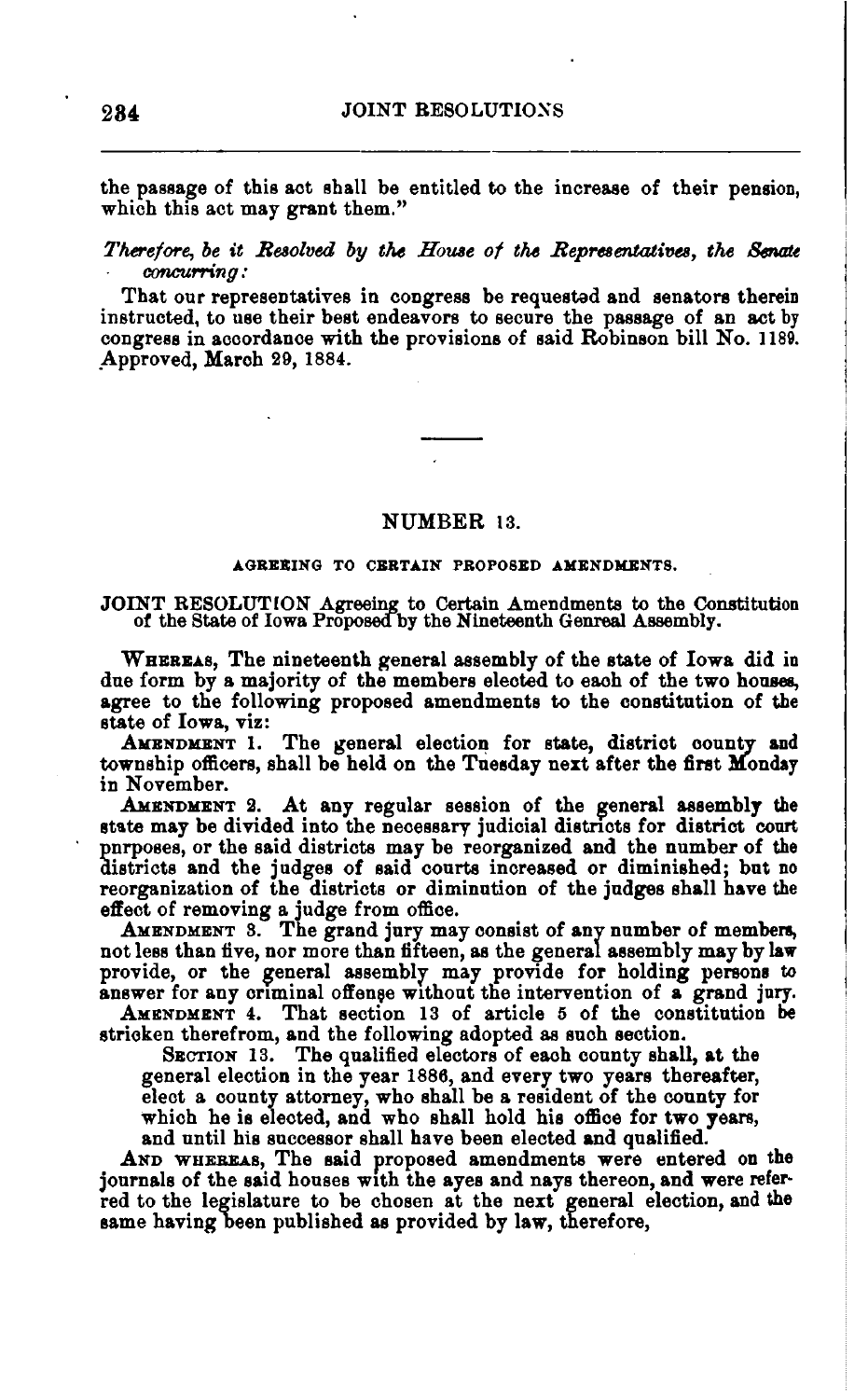the passage of this act shall be entitled to the increase of their pension, which this act may grant them."

*Therefore, be it Resolved by the House of the Representatives, the Senate concurri:ng:* 

That our representatives in congress be requested and senators therein instructed, to use their best endeavors to secure the passage of an act by congress in accordance with the provisions of said RObinson bill No. 1189. ,Approved, March 29, 1884.

## NUMBER 13.

#### AGREEING TO CERTAIN PROPOSED AMENDMENTS.

JOINT RESOLUTION Agreeing to Certain Amendments to the Constitution of the State of Iowa Proposecfby tbe Nineteenth Genreal Assembly.

WHEREAS, The nineteenth general assembly of the state of Iowa did in due form by a majority of the members elected to each of the two houses, agree to the following proposed amendments to the constitution of the state of Iowa, viz:

AMENDMENT 1. The general election for state, district county and township officers, shall be held on the Tuesday next after the first Monday in November.

AMENDMENT 2. At any regular session of the general assembly the state may be divided into the necessary judicial districts for district court pnrposes, or the said districts may be reorganized and the number of the districts and the judges of said courts increased or diminished; but no reorganization of the districts or diminution of the judges shall have the effect of removing a judge from office.

AMENDMENT 8. The grand jury may consist of any number of members, not less than five, nor more than fifteen, as the general assembly may by law provide, or the general assembly may provide for holding persons to answer for any criminal offense without the intervention of a grand jury.

AMENDMENT 4. That section 13 of article 5 of the constitution be strioken therefrom, and the following adopted as snch section.

SECTION 13. The qualified electors of each county shall, at the general election in the year 1886, and every two years thereafter, elect a county attorney, who shall be a resident of the county for which he is elected, and who shall hold his office for two years, and until his successor shall have been elected and qualified.

AND WHEREAS, The said proposed amendments were entered on the journals of the said houses With the ayes and nays thereon, and were referred to the legislature to be chosen at the next general election, and the same having been publisbed as provided by law, therefore,